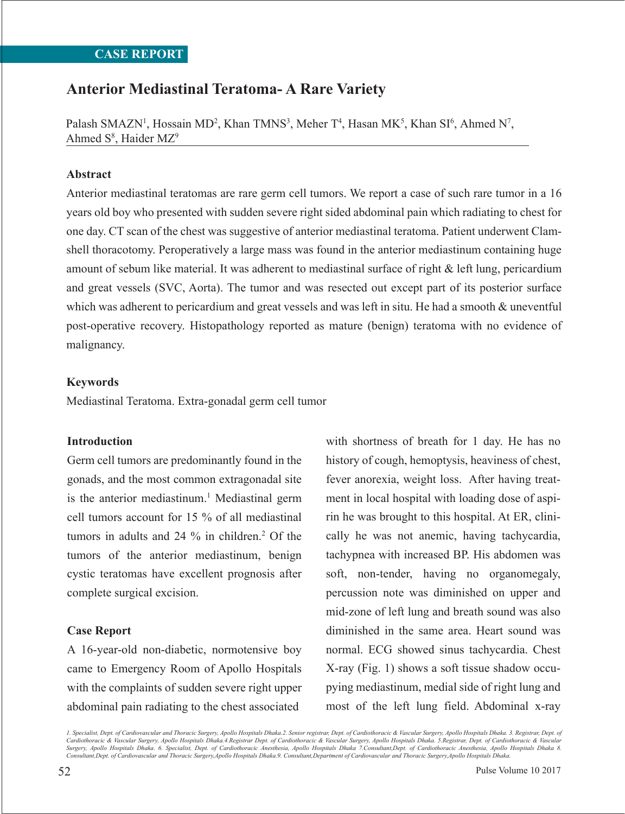# **Anterior Mediastinal Teratoma- A Rare Variety**

Palash SMAZN<sup>1</sup>, Hossain MD<sup>2</sup>, Khan TMNS<sup>3</sup>, Meher T<sup>4</sup>, Hasan MK<sup>5</sup>, Khan SI<sup>6</sup>, Ahmed N<sup>7</sup>, Ahmed S<sup>8</sup>, Haider MZ<sup>9</sup>

### **Abstract**

Anterior mediastinal teratomas are rare germ cell tumors. We report a case of such rare tumor in a 16 years old boy who presented with sudden severe right sided abdominal pain which radiating to chest for one day. CT scan of the chest was suggestive of anterior mediastinal teratoma. Patient underwent Clamshell thoracotomy. Peroperatively a large mass was found in the anterior mediastinum containing huge amount of sebum like material. It was adherent to mediastinal surface of right & left lung, pericardium and great vessels (SVC, Aorta). The tumor and was resected out except part of its posterior surface which was adherent to pericardium and great vessels and was left in situ. He had a smooth & uneventful post-operative recovery. Histopathology reported as mature (benign) teratoma with no evidence of malignancy.

### **Keywords**

Mediastinal Teratoma. Extra-gonadal germ cell tumor

#### **Introduction**

Germ cell tumors are predominantly found in the gonads, and the most common extragonadal site is the anterior mediastinum.<sup>1</sup> Mediastinal germ cell tumors account for 15 % of all mediastinal tumors in adults and 24 % in children.2 Of the tumors of the anterior mediastinum, benign cystic teratomas have excellent prognosis after complete surgical excision.

### **Case Report**

A 16-year-old non-diabetic, normotensive boy came to Emergency Room of Apollo Hospitals with the complaints of sudden severe right upper abdominal pain radiating to the chest associated

with shortness of breath for 1 day. He has no history of cough, hemoptysis, heaviness of chest, fever anorexia, weight loss. After having treatment in local hospital with loading dose of aspirin he was brought to this hospital. At ER, clinically he was not anemic, having tachycardia, tachypnea with increased BP. His abdomen was soft, non-tender, having no organomegaly, percussion note was diminished on upper and mid-zone of left lung and breath sound was also diminished in the same area. Heart sound was normal. ECG showed sinus tachycardia. Chest X-ray (Fig. 1) shows a soft tissue shadow occupying mediastinum, medial side of right lung and most of the left lung field. Abdominal x-ray

*1. Specialist, Dept. of Cardiovascular and Thoracic Surgery, Apollo Hospitals Dhaka.2. Senior registrar, Dept. of Cardiothoracic & Vascular Surgery, Apollo Hospitals Dhaka. 3. Registrar, Dept. of Cardiothoracic & Vascular Surgery, Apollo Hospitals Dhaka.4.Registrar Dept. of Cardiothoracic & Vascular Surgery, Apollo Hospitals Dhaka. 5.Registrar, Dept. of Cardiothoracic & Vascular Surgery, Apollo Hospitals Dhaka. 6. Specialist, Dept. of Cardiothoracic Anesthesia, Apollo Hospitals Dhaka 7.Consultant,Dept. of Cardiothoracic Anesthesia, Apollo Hospitals Dhaka 8. Consultant,Dept. of Cardiovascular and Thoracic Surgery,Apollo Hospitals Dhaka.9. Consultant,Department of Cardiovascular and Thoracic Surgery,Apollo Hospitals Dhaka.*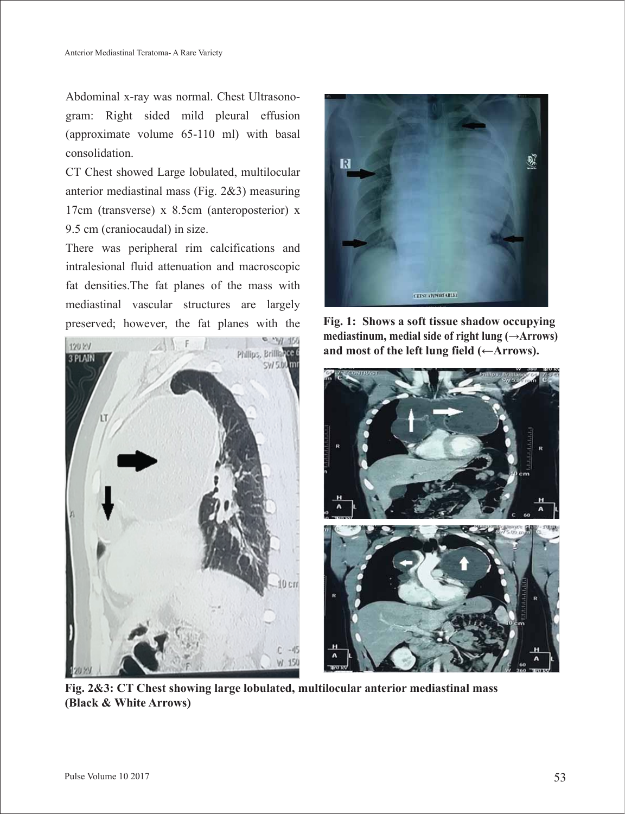Abdominal x-ray was normal. Chest Ultrasonogram: Right sided mild pleural effusion (approximate volume 65-110 ml) with basal consolidation.

CT Chest showed Large lobulated, multilocular anterior mediastinal mass (Fig. 2&3) measuring 17cm (transverse) x 8.5cm (anteroposterior) x 9.5 cm (craniocaudal) in size.

There was peripheral rim calcifications and intralesional fluid attenuation and macroscopic fat densities.The fat planes of the mass with mediastinal vascular structures are largely preserved; however, the fat planes with the **Fig. 1: Shows a soft tissue shadow occupying**





**mediastinum, medial side of right lung (→Arrows) and most of the left lung field (←Arrows).**



**Fig. 2&3: CT Chest showing large lobulated, multilocular anterior mediastinal mass (Black & White Arrows)**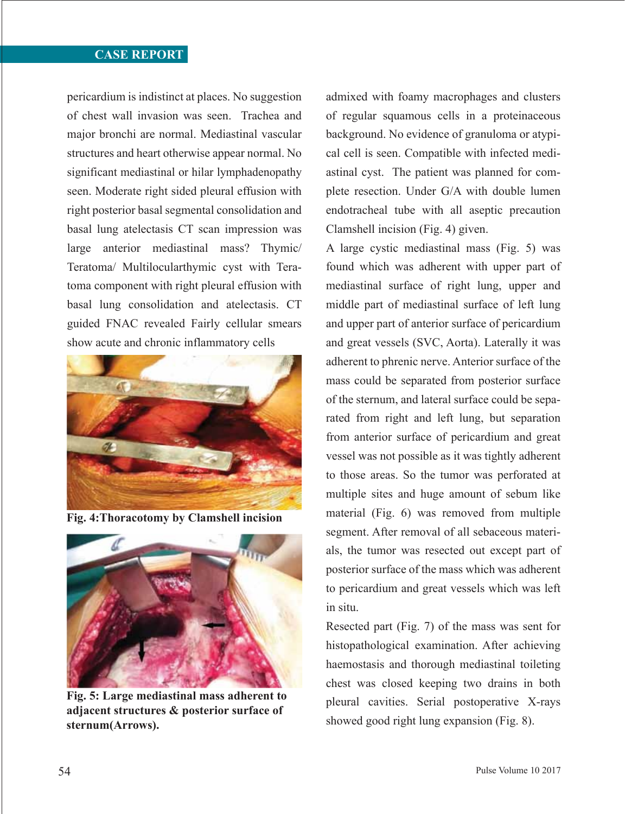## **CASE REPORT**

pericardium is indistinct at places. No suggestion of chest wall invasion was seen. Trachea and major bronchi are normal. Mediastinal vascular structures and heart otherwise appear normal. No significant mediastinal or hilar lymphadenopathy seen. Moderate right sided pleural effusion with right posterior basal segmental consolidation and basal lung atelectasis CT scan impression was large anterior mediastinal mass? Thymic/ Teratoma/ Multilocularthymic cyst with Teratoma component with right pleural effusion with basal lung consolidation and atelectasis. CT guided FNAC revealed Fairly cellular smears show acute and chronic inflammatory cells



**Fig. 4:Thoracotomy by Clamshell incision**



**Fig. 5: Large mediastinal mass adherent to adjacent structures & posterior surface of sternum(Arrows).**

admixed with foamy macrophages and clusters of regular squamous cells in a proteinaceous background. No evidence of granuloma or atypical cell is seen. Compatible with infected mediastinal cyst. The patient was planned for complete resection. Under G/A with double lumen endotracheal tube with all aseptic precaution Clamshell incision (Fig. 4) given.

A large cystic mediastinal mass (Fig. 5) was found which was adherent with upper part of mediastinal surface of right lung, upper and middle part of mediastinal surface of left lung and upper part of anterior surface of pericardium and great vessels (SVC, Aorta). Laterally it was adherent to phrenic nerve. Anterior surface of the mass could be separated from posterior surface of the sternum, and lateral surface could be separated from right and left lung, but separation from anterior surface of pericardium and great vessel was not possible as it was tightly adherent to those areas. So the tumor was perforated at multiple sites and huge amount of sebum like material (Fig. 6) was removed from multiple segment. After removal of all sebaceous materials, the tumor was resected out except part of posterior surface of the mass which was adherent to pericardium and great vessels which was left in situ.

Resected part (Fig. 7) of the mass was sent for histopathological examination. After achieving haemostasis and thorough mediastinal toileting chest was closed keeping two drains in both pleural cavities. Serial postoperative X-rays showed good right lung expansion (Fig. 8).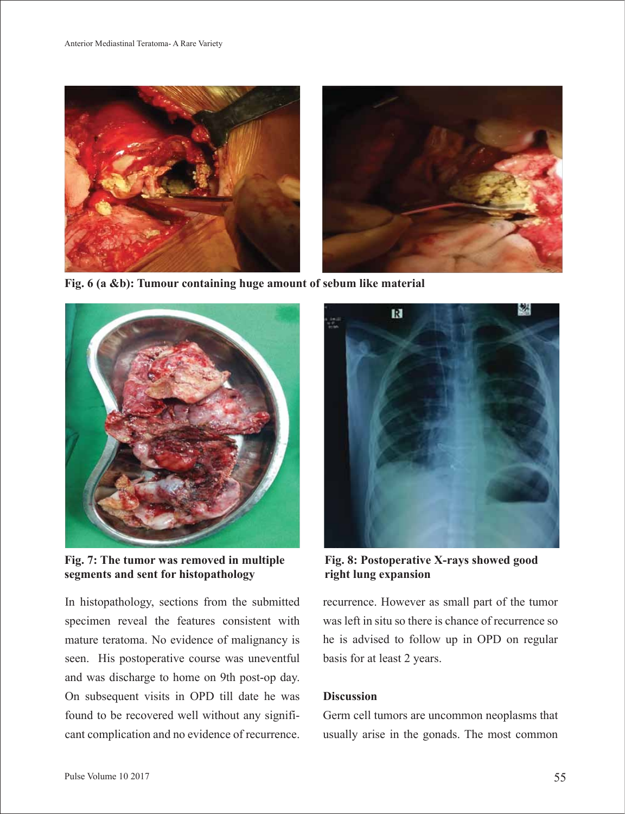

**Fig. 6 (a &b): Tumour containing huge amount of sebum like material**



**Fig. 7: The tumor was removed in multiple segments and sent for histopathology**

In histopathology, sections from the submitted specimen reveal the features consistent with mature teratoma. No evidence of malignancy is seen. His postoperative course was uneventful and was discharge to home on 9th post-op day. On subsequent visits in OPD till date he was found to be recovered well without any significant complication and no evidence of recurrence.



**Fig. 8: Postoperative X-rays showed good right lung expansion**

recurrence. However as small part of the tumor was left in situ so there is chance of recurrence so he is advised to follow up in OPD on regular basis for at least 2 years.

### **Discussion**

Germ cell tumors are uncommon neoplasms that usually arise in the gonads. The most common